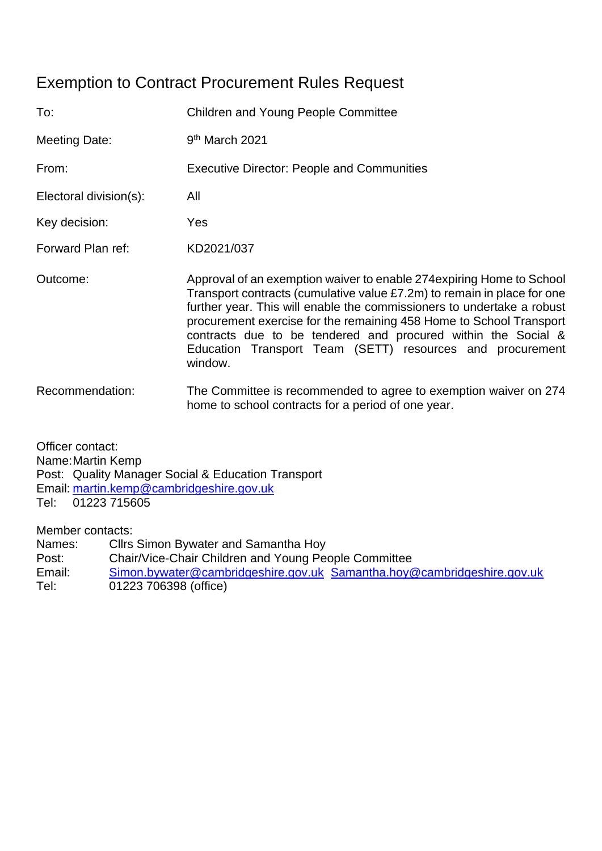# Exemption to Contract Procurement Rules Request

| To:                    | <b>Children and Young People Committee</b>                                                                                                                                                                                                                                                                                                                                                                                                 |  |  |  |
|------------------------|--------------------------------------------------------------------------------------------------------------------------------------------------------------------------------------------------------------------------------------------------------------------------------------------------------------------------------------------------------------------------------------------------------------------------------------------|--|--|--|
| Meeting Date:          | 9 <sup>th</sup> March 2021                                                                                                                                                                                                                                                                                                                                                                                                                 |  |  |  |
| From:                  | <b>Executive Director: People and Communities</b>                                                                                                                                                                                                                                                                                                                                                                                          |  |  |  |
| Electoral division(s): | All                                                                                                                                                                                                                                                                                                                                                                                                                                        |  |  |  |
| Key decision:          | Yes                                                                                                                                                                                                                                                                                                                                                                                                                                        |  |  |  |
| Forward Plan ref:      | KD2021/037                                                                                                                                                                                                                                                                                                                                                                                                                                 |  |  |  |
| Outcome:               | Approval of an exemption waiver to enable 274 expiring Home to School<br>Transport contracts (cumulative value £7.2m) to remain in place for one<br>further year. This will enable the commissioners to undertake a robust<br>procurement exercise for the remaining 458 Home to School Transport<br>contracts due to be tendered and procured within the Social &<br>Education Transport Team (SETT) resources and procurement<br>window. |  |  |  |
| Recommendation:        | The Committee is recommended to agree to exemption waiver on 274<br>home to school contracts for a period of one year.                                                                                                                                                                                                                                                                                                                     |  |  |  |

Officer contact: Name:Martin Kemp Post: Quality Manager Social & Education Transport Email: [martin.kemp@cambridgeshire.gov.uk](mailto:martin.kemp@cambridgeshire.gov.uk) Tel: 01223 715605

Member contacts:

Names: Cllrs Simon Bywater and Samantha Hoy Post: Chair/Vice-Chair Children and Young People Committee Email: [Simon.bywater@cambridgeshire.gov.uk](mailto:Simon.bywater@cambridgeshire.gov.uk) [Samantha.hoy@cambridgeshire.gov.uk](mailto:Samantha.hoy@cambridgeshire.gov.uk) Tel: 01223 706398 (office)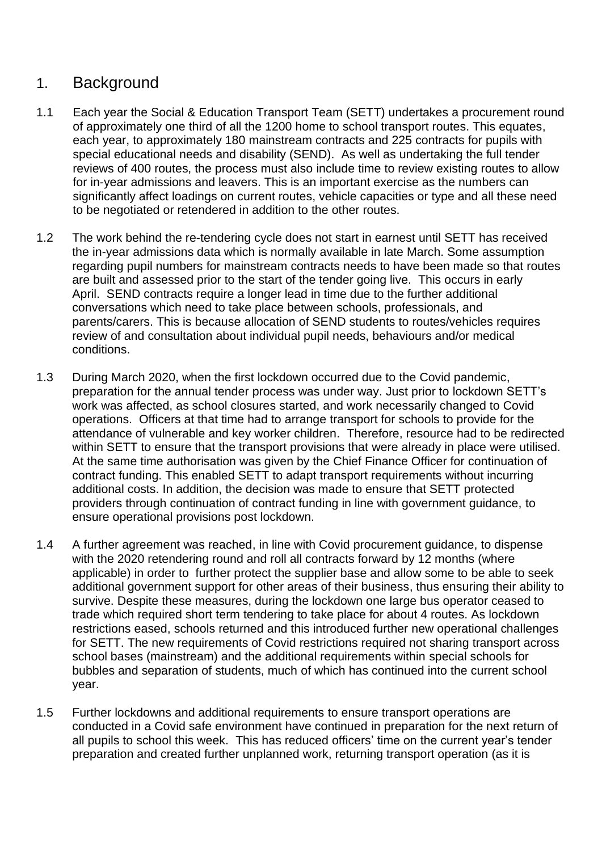# 1. Background

- 1.1 Each year the Social & Education Transport Team (SETT) undertakes a procurement round of approximately one third of all the 1200 home to school transport routes. This equates, each year, to approximately 180 mainstream contracts and 225 contracts for pupils with special educational needs and disability (SEND). As well as undertaking the full tender reviews of 400 routes, the process must also include time to review existing routes to allow for in-year admissions and leavers. This is an important exercise as the numbers can significantly affect loadings on current routes, vehicle capacities or type and all these need to be negotiated or retendered in addition to the other routes.
- 1.2 The work behind the re-tendering cycle does not start in earnest until SETT has received the in-year admissions data which is normally available in late March. Some assumption regarding pupil numbers for mainstream contracts needs to have been made so that routes are built and assessed prior to the start of the tender going live. This occurs in early April. SEND contracts require a longer lead in time due to the further additional conversations which need to take place between schools, professionals, and parents/carers. This is because allocation of SEND students to routes/vehicles requires review of and consultation about individual pupil needs, behaviours and/or medical conditions.
- 1.3 During March 2020, when the first lockdown occurred due to the Covid pandemic, preparation for the annual tender process was under way. Just prior to lockdown SETT's work was affected, as school closures started, and work necessarily changed to Covid operations. Officers at that time had to arrange transport for schools to provide for the attendance of vulnerable and key worker children. Therefore, resource had to be redirected within SETT to ensure that the transport provisions that were already in place were utilised. At the same time authorisation was given by the Chief Finance Officer for continuation of contract funding. This enabled SETT to adapt transport requirements without incurring additional costs. In addition, the decision was made to ensure that SETT protected providers through continuation of contract funding in line with government guidance, to ensure operational provisions post lockdown.
- 1.4 A further agreement was reached, in line with Covid procurement guidance, to dispense with the 2020 retendering round and roll all contracts forward by 12 months (where applicable) in order to further protect the supplier base and allow some to be able to seek additional government support for other areas of their business, thus ensuring their ability to survive. Despite these measures, during the lockdown one large bus operator ceased to trade which required short term tendering to take place for about 4 routes. As lockdown restrictions eased, schools returned and this introduced further new operational challenges for SETT. The new requirements of Covid restrictions required not sharing transport across school bases (mainstream) and the additional requirements within special schools for bubbles and separation of students, much of which has continued into the current school year.
- 1.5 Further lockdowns and additional requirements to ensure transport operations are conducted in a Covid safe environment have continued in preparation for the next return of all pupils to school this week. This has reduced officers' time on the current year's tender preparation and created further unplanned work, returning transport operation (as it is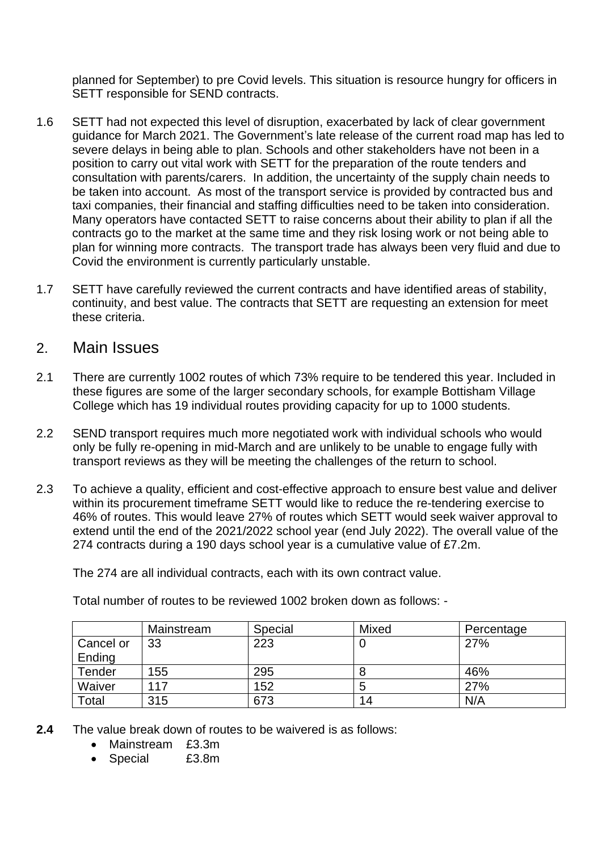planned for September) to pre Covid levels. This situation is resource hungry for officers in SETT responsible for SEND contracts.

- 1.6 SETT had not expected this level of disruption, exacerbated by lack of clear government guidance for March 2021. The Government's late release of the current road map has led to severe delays in being able to plan. Schools and other stakeholders have not been in a position to carry out vital work with SETT for the preparation of the route tenders and consultation with parents/carers. In addition, the uncertainty of the supply chain needs to be taken into account. As most of the transport service is provided by contracted bus and taxi companies, their financial and staffing difficulties need to be taken into consideration. Many operators have contacted SETT to raise concerns about their ability to plan if all the contracts go to the market at the same time and they risk losing work or not being able to plan for winning more contracts. The transport trade has always been very fluid and due to Covid the environment is currently particularly unstable.
- 1.7 SETT have carefully reviewed the current contracts and have identified areas of stability, continuity, and best value. The contracts that SETT are requesting an extension for meet these criteria.

#### 2. Main Issues

- 2.1 There are currently 1002 routes of which 73% require to be tendered this year. Included in these figures are some of the larger secondary schools, for example Bottisham Village College which has 19 individual routes providing capacity for up to 1000 students.
- 2.2 SEND transport requires much more negotiated work with individual schools who would only be fully re-opening in mid-March and are unlikely to be unable to engage fully with transport reviews as they will be meeting the challenges of the return to school.
- 2.3 To achieve a quality, efficient and cost-effective approach to ensure best value and deliver within its procurement timeframe SETT would like to reduce the re-tendering exercise to 46% of routes. This would leave 27% of routes which SETT would seek waiver approval to extend until the end of the 2021/2022 school year (end July 2022). The overall value of the 274 contracts during a 190 days school year is a cumulative value of £7.2m.

The 274 are all individual contracts, each with its own contract value.

|           | Mainstream | Special | Mixed | Percentage |
|-----------|------------|---------|-------|------------|
| Cancel or | 33         | 223     | υ     | 27%        |
| Ending    |            |         |       |            |
| Tender    | 155        | 295     |       | 46%        |
| Waiver    | 117        | 152     | 5     | 27%        |
| Total     | 315        | 673     | 14    | N/A        |
|           |            |         |       |            |

Total number of routes to be reviewed 1002 broken down as follows: -

- **2.4** The value break down of routes to be waivered is as follows:
	- Mainstream £3.3m
	- Special £3.8m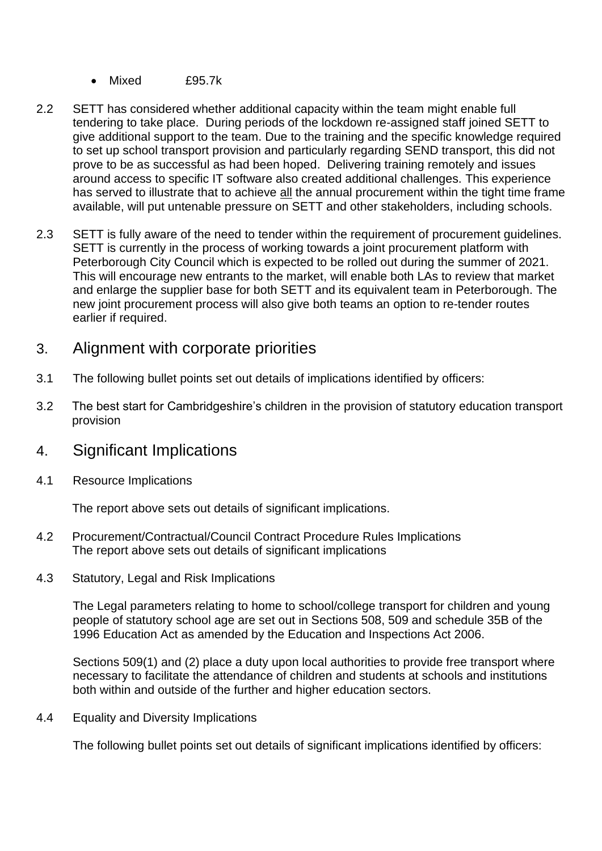- Mixed £95.7k
- 2.2 SETT has considered whether additional capacity within the team might enable full tendering to take place. During periods of the lockdown re-assigned staff joined SETT to give additional support to the team. Due to the training and the specific knowledge required to set up school transport provision and particularly regarding SEND transport, this did not prove to be as successful as had been hoped. Delivering training remotely and issues around access to specific IT software also created additional challenges. This experience has served to illustrate that to achieve all the annual procurement within the tight time frame available, will put untenable pressure on SETT and other stakeholders, including schools.
- 2.3 SETT is fully aware of the need to tender within the requirement of procurement guidelines. SETT is currently in the process of working towards a joint procurement platform with Peterborough City Council which is expected to be rolled out during the summer of 2021. This will encourage new entrants to the market, will enable both LAs to review that market and enlarge the supplier base for both SETT and its equivalent team in Peterborough. The new joint procurement process will also give both teams an option to re-tender routes earlier if required.

### 3. Alignment with corporate priorities

- 3.1 The following bullet points set out details of implications identified by officers:
- 3.2 The best start for Cambridgeshire's children in the provision of statutory education transport provision

## 4. Significant Implications

4.1 Resource Implications

The report above sets out details of significant implications.

- 4.2 Procurement/Contractual/Council Contract Procedure Rules Implications The report above sets out details of significant implications
- 4.3 Statutory, Legal and Risk Implications

The Legal parameters relating to home to school/college transport for children and young people of statutory school age are set out in Sections 508, 509 and schedule 35B of the 1996 Education Act as amended by the Education and Inspections Act 2006.

Sections 509(1) and (2) place a duty upon local authorities to provide free transport where necessary to facilitate the attendance of children and students at schools and institutions both within and outside of the further and higher education sectors.

4.4 Equality and Diversity Implications

The following bullet points set out details of significant implications identified by officers: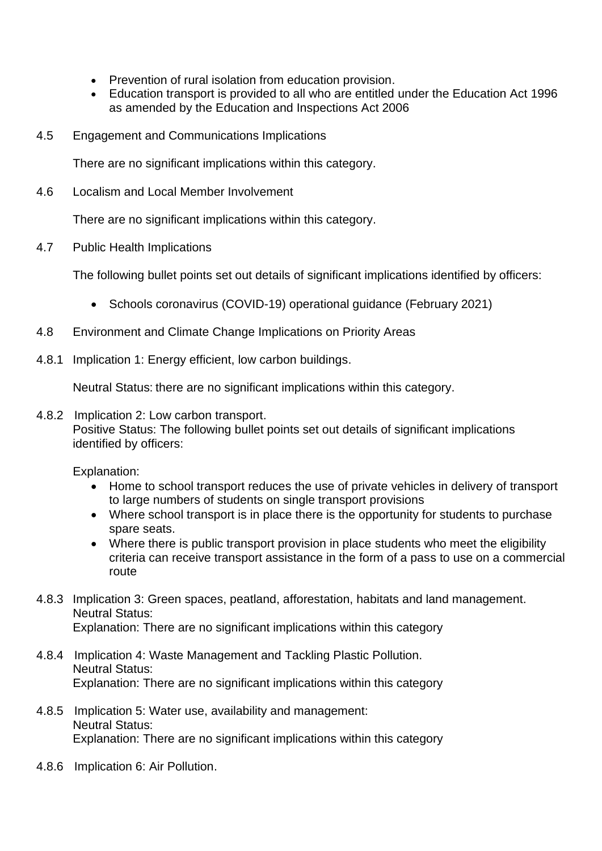- Prevention of rural isolation from education provision.
- Education transport is provided to all who are entitled under the Education Act 1996 as amended by the Education and Inspections Act 2006
- 4.5 Engagement and Communications Implications

There are no significant implications within this category.

4.6 Localism and Local Member Involvement

There are no significant implications within this category.

4.7 Public Health Implications

The following bullet points set out details of significant implications identified by officers:

- Schools coronavirus (COVID-19) operational guidance (February 2021)
- 4.8 Environment and Climate Change Implications on Priority Areas
- 4.8.1 Implication 1: Energy efficient, low carbon buildings.

Neutral Status: there are no significant implications within this category.

4.8.2 Implication 2: Low carbon transport. Positive Status: The following bullet points set out details of significant implications identified by officers:

Explanation:

- Home to school transport reduces the use of private vehicles in delivery of transport to large numbers of students on single transport provisions
- Where school transport is in place there is the opportunity for students to purchase spare seats.
- Where there is public transport provision in place students who meet the eligibility criteria can receive transport assistance in the form of a pass to use on a commercial route
- 4.8.3 Implication 3: Green spaces, peatland, afforestation, habitats and land management. Neutral Status: Explanation: There are no significant implications within this category
- 4.8.4 Implication 4: Waste Management and Tackling Plastic Pollution. Neutral Status: Explanation: There are no significant implications within this category
- 4.8.5 Implication 5: Water use, availability and management: Neutral Status: Explanation: There are no significant implications within this category
- 4.8.6 Implication 6: Air Pollution.